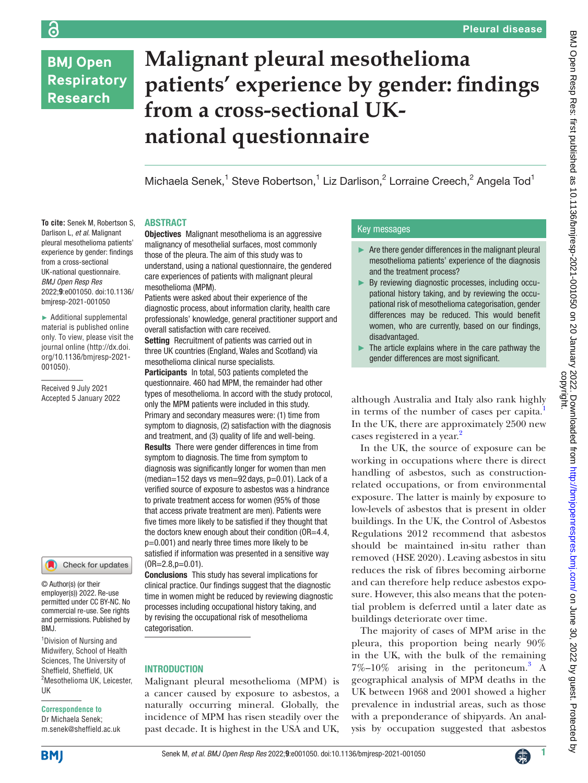# **BMJ Open Respiratory Research**

# **Malignant pleural mesothelioma patients' experience by gender: findings from a cross-sectional UKnational questionnaire**

Michaela Senek,<sup>1</sup> Steve Robertson,<sup>1</sup> Liz Darlison,<sup>2</sup> Lorraine Creech,<sup>2</sup> Angela Tod<sup>1</sup>

#### ABSTRACT

**To cite:** Senek M, Robertson S, Darlison L, *et al*. Malignant pleural mesothelioma patients' experience by gender: findings from a cross-sectional UK-national questionnaire. *BMJ Open Resp Res* 2022;**9**:e001050. doi:10.1136/ bmjresp-2021-001050

► Additional supplemental material is published online only. To view, please visit the journal online ([http://dx.doi.](http://dx.doi.org/10.1136/bmjresp-2021-001050) [org/10.1136/bmjresp-2021-](http://dx.doi.org/10.1136/bmjresp-2021-001050) [001050](http://dx.doi.org/10.1136/bmjresp-2021-001050)).

Received 9 July 2021 Accepted 5 January 2022

#### Check for updates

© Author(s) (or their employer(s)) 2022. Re-use permitted under CC BY-NC. No commercial re-use. See rights and permissions. Published by BMJ.

1 Division of Nursing and Midwifery, School of Health Sciences, The University of Sheffield, Sheffield, UK 2 Mesothelioma UK, Leicester, UK

#### **Correspondence to**

Dr Michaela Senek; m.senek@sheffield.ac.uk

**Objectives** Malignant mesothelioma is an aggressive malignancy of mesothelial surfaces, most commonly those of the pleura. The aim of this study was to understand, using a national questionnaire, the gendered care experiences of patients with malignant pleural mesothelioma (MPM).

Patients were asked about their experience of the diagnostic process, about information clarity, health care professionals' knowledge, general practitioner support and overall satisfaction with care received.

Setting Recruitment of patients was carried out in three UK countries (England, Wales and Scotland) via mesothelioma clinical nurse specialists.

Participants In total, 503 patients completed the questionnaire. 460 had MPM, the remainder had other types of mesothelioma. In accord with the study protocol, only the MPM patients were included in this study. Primary and secondary measures were: (1) time from symptom to diagnosis, (2) satisfaction with the diagnosis and treatment, and (3) quality of life and well-being. Results There were gender differences in time from symptom to diagnosis. The time from symptom to diagnosis was significantly longer for women than men  $(median=152 \text{ days} \text{ vs } men=92 \text{ days}, p=0.01)$ . Lack of a verified source of exposure to asbestos was a hindrance to private treatment access for women (95% of those that access private treatment are men). Patients were five times more likely to be satisfied if they thought that the doctors knew enough about their condition (OR=4.4, p=0.001) and nearly three times more likely to be satisfied if information was presented in a sensitive way  $(OR=2.8,p=0.01)$ .

Conclusions This study has several implications for clinical practice. Our findings suggest that the diagnostic time in women might be reduced by reviewing diagnostic processes including occupational history taking, and by revising the occupational risk of mesothelioma categorisation.

# INTRODUCTION

Malignant pleural mesothelioma (MPM) is a cancer caused by exposure to asbestos, a naturally occurring mineral. Globally, the incidence of MPM has risen steadily over the past decade. It is highest in the USA and UK,

# Key messages

- ► Are there gender differences in the malignant pleural mesothelioma patients' experience of the diagnosis and the treatment process?
- ► By reviewing diagnostic processes, including occupational history taking, and by reviewing the occupational risk of mesothelioma categorisation, gender differences may be reduced. This would benefit women, who are currently, based on our findings, disadvantaged.
- The article explains where in the care pathway the gender differences are most significant.

although Australia and Italy also rank highly in terms of the number of cases per capita.<sup>[1](#page-7-0)</sup> In the UK, there are approximately 2500 new cases registered in a year.<sup>2</sup>

In the UK, the source of exposure can be working in occupations where there is direct handling of asbestos, such as constructionrelated occupations, or from environmental exposure. The latter is mainly by exposure to low-levels of asbestos that is present in older buildings. In the UK, the Control of Asbestos Regulations 2012 recommend that asbestos should be maintained in-situ rather than removed (HSE 2020). Leaving asbestos in situ reduces the risk of fibres becoming airborne and can therefore help reduce asbestos exposure. However, this also means that the potential problem is deferred until a later date as buildings deteriorate over time.

The majority of cases of MPM arise in the pleura, this proportion being nearly 90% in the UK, with the bulk of the remaining  $7\%$ -10% arising in the peritoneum.<sup>[3](#page-7-2)</sup> A geographical analysis of MPM deaths in the UK between 1968 and 2001 showed a higher prevalence in industrial areas, such as those with a preponderance of shipyards. An analysis by occupation suggested that asbestos





ခြ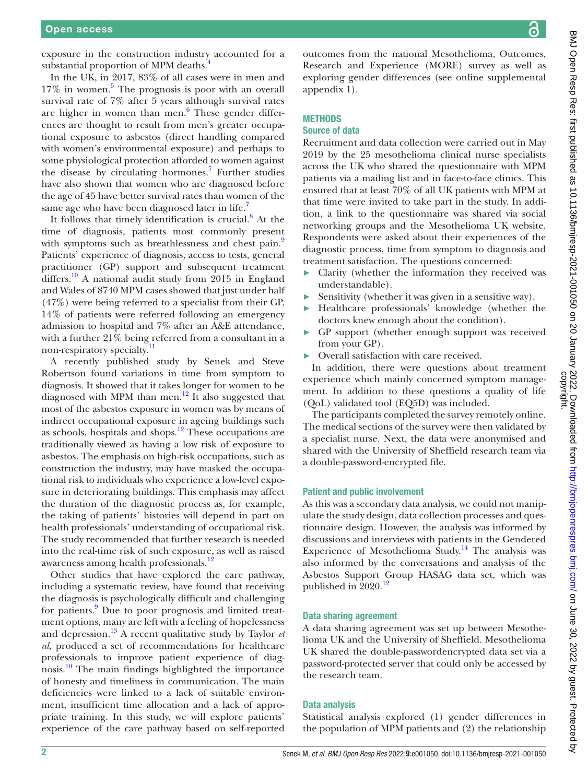exposure in the construction industry accounted for a substantial proportion of MPM deaths.<sup>4</sup>

In the UK, in 2017, 83% of all cases were in men and 17% in women.<sup>[5](#page-7-4)</sup> The prognosis is poor with an overall survival rate of 7% after 5 years although survival rates are higher in women than men.<sup>[6](#page-7-5)</sup> These gender differences are thought to result from men's greater occupational exposure to asbestos (direct handling compared with women's environmental exposure) and perhaps to some physiological protection afforded to women against the disease by circulating hormones.<sup>7</sup> Further studies have also shown that women who are diagnosed before the age of 45 have better survival rates than women of the same age who have been diagnosed later in life.

It follows that timely identification is crucial.<sup>[8](#page-7-7)</sup> At the time of diagnosis, patients most commonly present with symptoms such as breathlessness and chest pain.<sup>[9](#page-7-8)</sup> Patients' experience of diagnosis, access to tests, general practitioner (GP) support and subsequent treatment differs.<sup>[10](#page-7-9)</sup> A national audit study from 2015 in England and Wales of 8740 MPM cases showed that just under half (47%) were being referred to a specialist from their GP, 14% of patients were referred following an emergency admission to hospital and 7% after an A&E attendance, with a further 21% being referred from a consultant in a non-respiratory specialty.[11](#page-7-10)

A recently published study by Senek and Steve Robertson found variations in time from symptom to diagnosis. It showed that it takes longer for women to be diagnosed with MPM than men. $^{12}$  $^{12}$  $^{12}$  It also suggested that most of the asbestos exposure in women was by means of indirect occupational exposure in ageing buildings such as schools, hospitals and shops.[12](#page-7-11) These occupations are traditionally viewed as having a low risk of exposure to asbestos. The emphasis on high-risk occupations, such as construction the industry, may have masked the occupational risk to individuals who experience a low-level exposure in deteriorating buildings. This emphasis may affect the duration of the diagnostic process as, for example, the taking of patients' histories will depend in part on health professionals' understanding of occupational risk. The study recommended that further research is needed into the real-time risk of such exposure, as well as raised awareness among health professionals.<sup>12</sup>

Other studies that have explored the care pathway, including a systematic review, have found that receiving the diagnosis is psychologically difficult and challenging for patients.<sup>[9](#page-7-8)</sup> Due to poor prognosis and limited treatment options, many are left with a feeling of hopelessness and depression.[13](#page-7-12) A recent qualitative study by Taylor *et al*, produced a set of recommendations for healthcare professionals to improve patient experience of diagnosis.<sup>10</sup> The main findings highlighted the importance of honesty and timeliness in communication. The main deficiencies were linked to a lack of suitable environment, insufficient time allocation and a lack of appropriate training. In this study, we will explore patients' experience of the care pathway based on self-reported

outcomes from the national Mesothelioma, Outcomes, Research and Experience (MORE) survey as well as exploring gender differences (see [online supplemental](https://dx.doi.org/10.1136/bmjresp-2021-001050) [appendix 1\)](https://dx.doi.org/10.1136/bmjresp-2021-001050).

# **METHODS**

# Source of data

Recruitment and data collection were carried out in May 2019 by the 25 mesothelioma clinical nurse specialists across the UK who shared the questionnaire with MPM patients via a mailing list and in face-to-face clinics. This ensured that at least 70% of all UK patients with MPM at that time were invited to take part in the study. In addition, a link to the questionnaire was shared via social networking groups and the Mesothelioma UK website. Respondents were asked about their experiences of the diagnostic process, time from symptom to diagnosis and treatment satisfaction. The questions concerned:

- ► Clarity (whether the information they received was understandable).
- ► Sensitivity (whether it was given in a sensitive way).
- ► Healthcare professionals' knowledge (whether the doctors knew enough about the condition).
- GP support (whether enough support was received from your GP).
- Overall satisfaction with care received.

In addition, there were questions about treatment experience which mainly concerned symptom management. In addition to these questions a quality of life (QoL) validated tool (EQ5D) was included.

The participants completed the survey remotely online. The medical sections of the survey were then validated by a specialist nurse. Next, the data were anonymised and shared with the University of Sheffield research team via a double-password-encrypted file.

#### Patient and public involvement

As this was a secondary data analysis, we could not manipulate the study design, data collection processes and questionnaire design. However, the analysis was informed by discussions and interviews with patients in the Gendered Experience of Mesothelioma Study.<sup>14</sup> The analysis was also informed by the conversations and analysis of the Asbestos Support Group HASAG data set, which was published in 2020.<sup>[12](#page-7-11)</sup>

#### Data sharing agreement

A data sharing agreement was set up between Mesothelioma UK and the University of Sheffield. Mesothelioma UK shared the double-passwordencrypted data set via a password-protected server that could only be accessed by the research team.

#### Data analysis

Statistical analysis explored (1) gender differences in the population of MPM patients and (2) the relationship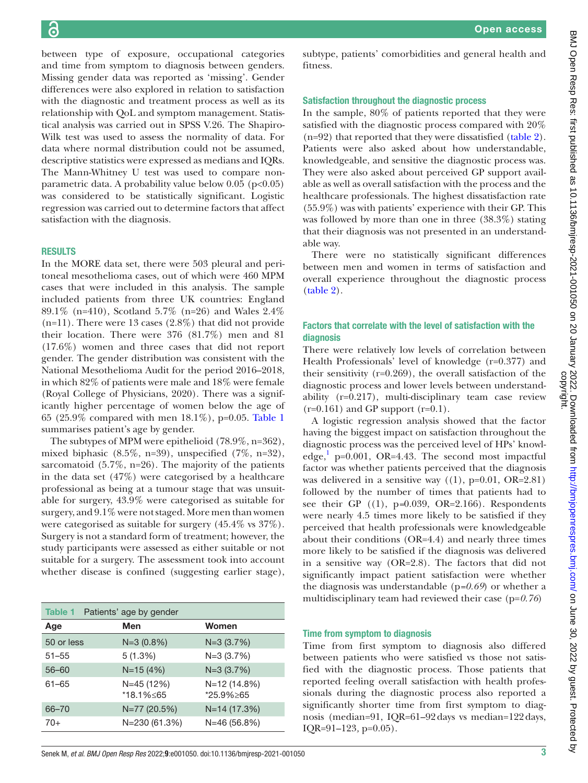between type of exposure, occupational categories and time from symptom to diagnosis between genders. Missing gender data was reported as 'missing'. Gender differences were also explored in relation to satisfaction with the diagnostic and treatment process as well as its relationship with QoL and symptom management. Statistical analysis was carried out in SPSS V.26. The Shapiro-Wilk test was used to assess the normality of data. For data where normal distribution could not be assumed, descriptive statistics were expressed as medians and IQRs. The Mann-Whitney U test was used to compare nonparametric data. A probability value below  $0.05$  (p<0.05) was considered to be statistically significant. Logistic regression was carried out to determine factors that affect satisfaction with the diagnosis.

#### RESULTS

In the MORE data set, there were 503 pleural and peritoneal mesothelioma cases, out of which were 460 MPM cases that were included in this analysis. The sample included patients from three UK countries: England 89.1% (n=410), Scotland 5.7% (n=26) and Wales 2.4%  $(n=11)$ . There were 13 cases  $(2.8\%)$  that did not provide their location. There were 376 (81.7%) men and 81 (17.6%) women and three cases that did not report gender. The gender distribution was consistent with the National Mesothelioma Audit for the period 2016–2018, in which 82% of patients were male and 18% were female (Royal College of Physicians, 2020). There was a significantly higher percentage of women below the age of 65 (25.9% compared with men 18.1%), p=0.05. [Table](#page-2-0) 1 summarises patient's age by gender.

The subtypes of MPM were epithelioid (78.9%, n=362), mixed biphasic  $(8.5\%, n=39)$ , unspecified  $(7\%, n=32)$ , sarcomatoid (5.7%, n=26). The majority of the patients in the data set (47%) were categorised by a healthcare professional as being at a tumour stage that was unsuitable for surgery, 43.9% were categorised as suitable for surgery, and 9.1% were not staged. More men than women were categorised as suitable for surgery (45.4% vs 37%). Surgery is not a standard form of treatment; however, the study participants were assessed as either suitable or not suitable for a surgery. The assessment took into account whether disease is confined (suggesting earlier stage),

<span id="page-2-0"></span>

| Patients' age by gender<br>Table 1 |                         |                           |  |
|------------------------------------|-------------------------|---------------------------|--|
| Age                                | Men                     | Women                     |  |
| 50 or less                         | $N=3(0.8%)$             | $N=3(3.7%)$               |  |
| $51 - 55$                          | 5(1.3%)                 | $N=3(3.7%)$               |  |
| $56 - 60$                          | $N = 15(4%)$            | $N=3(3.7%)$               |  |
| $61 - 65$                          | N=45 (12%)<br>*18.1%≤65 | N=12 (14.8%)<br>*25.9%>65 |  |
| 66-70                              | N=77 (20.5%)            | $N=14(17.3%)$             |  |
| $70+$                              | N=230 (61.3%)           | $N=46(56.8%)$             |  |

subtype, patients' comorbidities and general health and fitness.

#### Satisfaction throughout the diagnostic process

In the sample, 80% of patients reported that they were satisfied with the diagnostic process compared with 20% (n=92) that reported that they were dissatisfied [\(table](#page-3-0) 2). Patients were also asked about how understandable, knowledgeable, and sensitive the diagnostic process was. They were also asked about perceived GP support available as well as overall satisfaction with the process and the healthcare professionals. The highest dissatisfaction rate (55.9%) was with patients' experience with their GP. This was followed by more than one in three (38.3%) stating that their diagnosis was not presented in an understandable way.

There were no statistically significant differences between men and women in terms of satisfaction and overall experience throughout the diagnostic process [\(table](#page-3-0) 2).

# Factors that correlate with the level of satisfaction with the diagnosis

There were relatively low levels of correlation between Health Professionals' level of knowledge (r=0.377) and their sensitivity  $(r=0.269)$ , the overall satisfaction of the diagnostic process and lower levels between understandability (r=0.217), multi-disciplinary team case review  $(r=0.161)$  and GP support  $(r=0.1)$ .

A logistic regression analysis showed that the factor having the biggest impact on satisfaction throughout the diagnostic process was the perceived level of HPs' knowledge,  $p=0.001$ , OR=4.43. The second most impactful factor was whether patients perceived that the diagnosis was delivered in a sensitive way  $((1), p=0.01, OR=2.81)$ followed by the number of times that patients had to see their GP ((1), p*=*0.039, OR=2.166). Respondents were nearly 4.5 times more likely to be satisfied if they perceived that health professionals were knowledgeable about their conditions (OR=4.4) and nearly three times more likely to be satisfied if the diagnosis was delivered in a sensitive way (OR=2.8). The factors that did not significantly impact patient satisfaction were whether the diagnosis was understandable (p*=0.69*) or whether a multidisciplinary team had reviewed their case (p=*0.76*)

#### Time from symptom to diagnosis

Time from first symptom to diagnosis also differed between patients who were satisfied vs those not satisfied with the diagnostic process. Those patients that reported feeling overall satisfaction with health professionals during the diagnostic process also reported a significantly shorter time from first symptom to diagnosis (median=91, IQR=61–92days vs median=122days, IQR=91–123*,* p=0.05).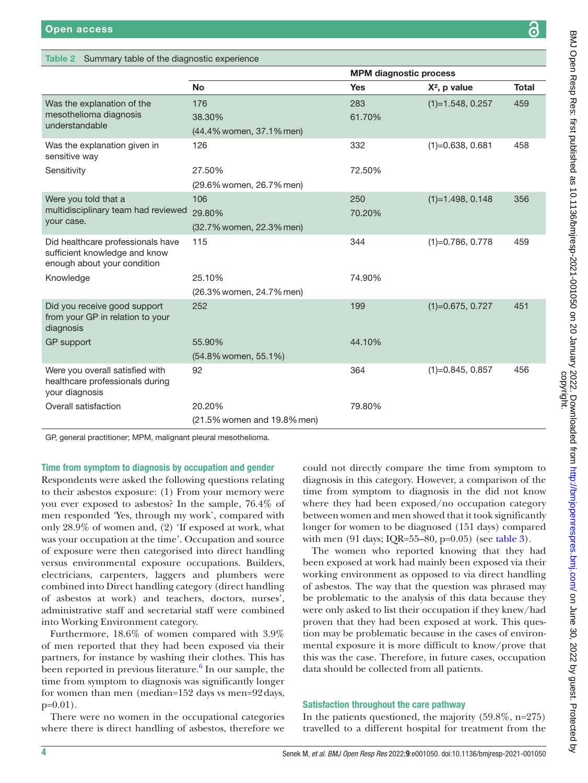#### <span id="page-3-0"></span>Table 2 Summary table of the diagnostic experience

|                                                                                                   |                             | <b>MPM diagnostic process</b> |                    |              |
|---------------------------------------------------------------------------------------------------|-----------------------------|-------------------------------|--------------------|--------------|
|                                                                                                   | <b>No</b>                   | <b>Yes</b>                    | $X^2$ , p value    | <b>Total</b> |
| Was the explanation of the<br>mesothelioma diagnosis<br>understandable                            | 176                         | 283                           | $(1)=1.548, 0.257$ | 459          |
|                                                                                                   | 38.30%                      | 61.70%                        |                    |              |
|                                                                                                   | (44.4% women, 37.1% men)    |                               |                    |              |
| Was the explanation given in<br>sensitive way                                                     | 126                         | 332                           | $(1)=0.638, 0.681$ | 458          |
| Sensitivity                                                                                       | 27.50%                      | 72.50%                        |                    |              |
|                                                                                                   | (29.6% women, 26.7% men)    |                               |                    |              |
| Were you told that a                                                                              | 106                         | 250                           | $(1)=1.498, 0.148$ | 356          |
| multidisciplinary team had reviewed                                                               | 29.80%                      | 70.20%                        |                    |              |
| your case.                                                                                        | (32.7% women, 22.3% men)    |                               |                    |              |
| Did healthcare professionals have<br>sufficient knowledge and know<br>enough about your condition | 115                         | 344                           | $(1)=0.786, 0.778$ | 459          |
| Knowledge                                                                                         | 25.10%                      | 74.90%                        |                    |              |
|                                                                                                   | (26.3% women, 24.7% men)    |                               |                    |              |
| Did you receive good support<br>from your GP in relation to your<br>diagnosis                     | 252                         | 199                           | $(1)=0.675, 0.727$ | 451          |
| GP support                                                                                        | 55.90%                      | 44.10%                        |                    |              |
|                                                                                                   | (54.8% women, 55.1%)        |                               |                    |              |
| Were you overall satisfied with<br>healthcare professionals during<br>your diagnosis              | 92                          | 364                           | $(1)=0.845, 0.857$ | 456          |
| Overall satisfaction                                                                              | 20.20%                      | 79.80%                        |                    |              |
|                                                                                                   | (21.5% women and 19.8% men) |                               |                    |              |

GP, general practitioner; MPM, malignant pleural mesothelioma.

Time from symptom to diagnosis by occupation and gender

Respondents were asked the following questions relating to their asbestos exposure: (1) From your memory were you ever exposed to asbestos? In the sample, 76.4% of men responded 'Yes, through my work', compared with only 28.9% of women and, (2) 'If exposed at work, what was your occupation at the time'. Occupation and source of exposure were then categorised into direct handling versus environmental exposure occupations. Builders, electricians, carpenters, laggers and plumbers were combined into Direct handling category (direct handling of asbestos at work) and teachers, doctors, nurses', administrative staff and secretarial staff were combined into Working Environment category.

Furthermore, 18.6% of women compared with 3.9% of men reported that they had been exposed via their partners, for instance by washing their clothes. This has been reported in previous literature. $^6$  $^6$  In our sample, the time from symptom to diagnosis was significantly longer for women than men (median=152 days vs men=92days, p=0.01).

There were no women in the occupational categories where there is direct handling of asbestos, therefore we

could not directly compare the time from symptom to diagnosis in this category. However, a comparison of the time from symptom to diagnosis in the did not know where they had been exposed/no occupation category between women and men showed that it took significantly longer for women to be diagnosed (151 days) compared with men (91 days; IQR=55–80, p=0.05) (see [table](#page-4-0) 3).

The women who reported knowing that they had been exposed at work had mainly been exposed via their working environment as opposed to via direct handling of asbestos. The way that the question was phrased may be problematic to the analysis of this data because they were only asked to list their occupation if they knew/had proven that they had been exposed at work. This question may be problematic because in the cases of environmental exposure it is more difficult to know/prove that this was the case. Therefore, in future cases, occupation data should be collected from all patients.

# Satisfaction throughout the care pathway

In the patients questioned, the majority (59.8%, n=275) travelled to a different hospital for treatment from the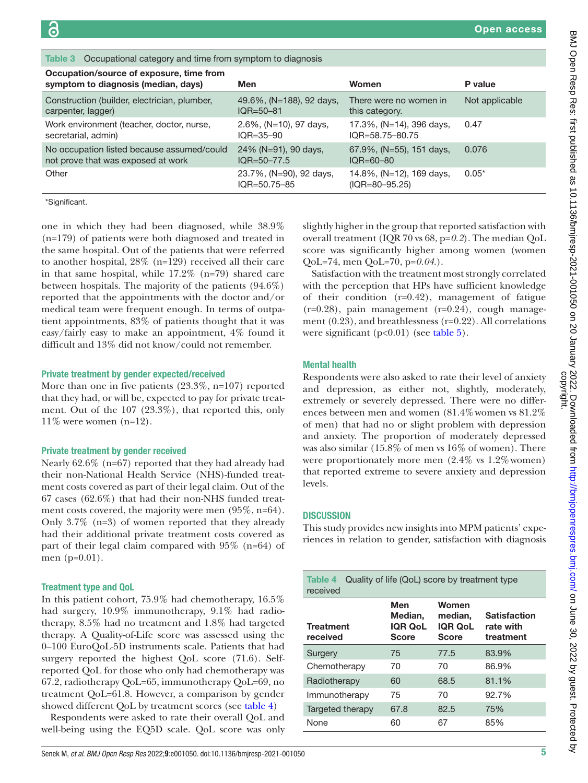<span id="page-4-0"></span>

| Table 3 Occupational category and time from symptom to diagnosis                 |                                               |                                                   |                |
|----------------------------------------------------------------------------------|-----------------------------------------------|---------------------------------------------------|----------------|
| Occupation/source of exposure, time from<br>symptom to diagnosis (median, days)  | Men                                           | Women                                             | P value        |
| Construction (builder, electrician, plumber,<br>carpenter, lagger)               | 49.6%, (N=188), 92 days,<br>$IOR = 50 - 81$   | There were no women in<br>this category.          | Not applicable |
| Work environment (teacher, doctor, nurse,<br>secretarial, admin)                 | 2.6%, (N=10), 97 days,<br>$IOR = 35 - 90$     | 17.3%, (N=14), 396 days,<br>$IOR = 58.75 - 80.75$ | 0.47           |
| No occupation listed because assumed/could<br>not prove that was exposed at work | 24% (N=91), 90 days,<br>$IOR = 50 - 77.5$     | 67.9%, (N=55), 151 days,<br>$IOR = 60 - 80$       | 0.076          |
| Other                                                                            | 23.7%, (N=90), 92 days,<br>$IOR = 50.75 - 85$ | 14.8%, (N=12), 169 days,<br>$(IQR = 80 - 95.25)$  | $0.05*$        |
|                                                                                  |                                               |                                                   |                |

\*Significant.

one in which they had been diagnosed, while 38.9% (n=179) of patients were both diagnosed and treated in the same hospital. Out of the patients that were referred to another hospital, 28% (n=129) received all their care in that same hospital, while 17.2% (n=79) shared care between hospitals. The majority of the patients (94.6%) reported that the appointments with the doctor and/or medical team were frequent enough. In terms of outpatient appointments, 83% of patients thought that it was easy/fairly easy to make an appointment, 4% found it difficult and 13% did not know/could not remember.

#### Private treatment by gender expected/received

More than one in five patients (23.3%, n=107) reported that they had, or will be, expected to pay for private treatment. Out of the 107 (23.3%), that reported this, only  $11\%$  were women (n=12).

#### Private treatment by gender received

Nearly 62.6% (n=67) reported that they had already had their non-National Health Service (NHS)-funded treatment costs covered as part of their legal claim. Out of the 67 cases (62.6%) that had their non-NHS funded treatment costs covered, the majority were men (95%, n=64). Only 3.7% (n=3) of women reported that they already had their additional private treatment costs covered as part of their legal claim compared with 95% (n=64) of men (p=0.01).

#### Treatment type and QoL

In this patient cohort, 75.9% had chemotherapy, 16.5% had surgery, 10.9% immunotherapy, 9.1% had radiotherapy, 8.5% had no treatment and 1.8% had targeted therapy. A Quality-of-Life score was assessed using the 0–100 EuroQoL-5D instruments scale. Patients that had surgery reported the highest QoL score (71.6). Selfreported QoL for those who only had chemotherapy was 67.2, radiotherapy QoL=65, immunotherapy QoL=69, no treatment QoL=61.8. However, a comparison by gender showed different QoL by treatment scores (see [table](#page-4-1) 4)

Respondents were asked to rate their overall QoL and well-being using the EQ5D scale. QoL score was only

Senek M, *et al*. *BMJ Open Resp Res* 2022;**9**:e001050. doi:10.1136/bmjresp-2021-001050 5

slightly higher in the group that reported satisfaction with overall treatment (IQR 70 vs 68, p=*0.2*). The median QoL score was significantly higher among women (women QoL=74, men QoL=70, p=*0.04*.).

Satisfaction with the treatment most strongly correlated with the perception that HPs have sufficient knowledge of their condition  $(r=0.42)$ , management of fatigue  $(r=0.28)$ , pain management  $(r=0.24)$ , cough management (0.23), and breathlessness (r=0.22). All correlations were significant (p<0.01) (see [table](#page-5-0) 5).

#### Mental health

Respondents were also asked to rate their level of anxiety and depression, as either not, slightly, moderately, extremely or severely depressed. There were no differences between men and women (81.4% women vs 81.2%) of men) that had no or slight problem with depression and anxiety. The proportion of moderately depressed was also similar (15.8% of men vs 16% of women). There were proportionately more men  $(2.4\% \text{ vs } 1.2\% \text{ women})$ that reported extreme to severe anxiety and depression levels.

# **DISCUSSION**

This study provides new insights into MPM patients' experiences in relation to gender, satisfaction with diagnosis

<span id="page-4-1"></span>

| Quality of life (QoL) score by treatment type<br>Table 4<br>received |                                                  |                                                    |                                               |
|----------------------------------------------------------------------|--------------------------------------------------|----------------------------------------------------|-----------------------------------------------|
| <b>Treatment</b><br>received                                         | Men<br>Median.<br><b>IQR QoL</b><br><b>Score</b> | Women<br>median.<br><b>IQR QoL</b><br><b>Score</b> | <b>Satisfaction</b><br>rate with<br>treatment |
| Surgery                                                              | 75                                               | 77.5                                               | 83.9%                                         |
| Chemotherapy                                                         | 70                                               | 70                                                 | 86.9%                                         |
| Radiotherapy                                                         | 60                                               | 68.5                                               | 81.1%                                         |
| Immunotherapy                                                        | 75                                               | 70                                                 | 92.7%                                         |
| Targeted therapy                                                     | 67.8                                             | 82.5                                               | 75%                                           |
| None                                                                 | 60                                               | 67                                                 | 85%                                           |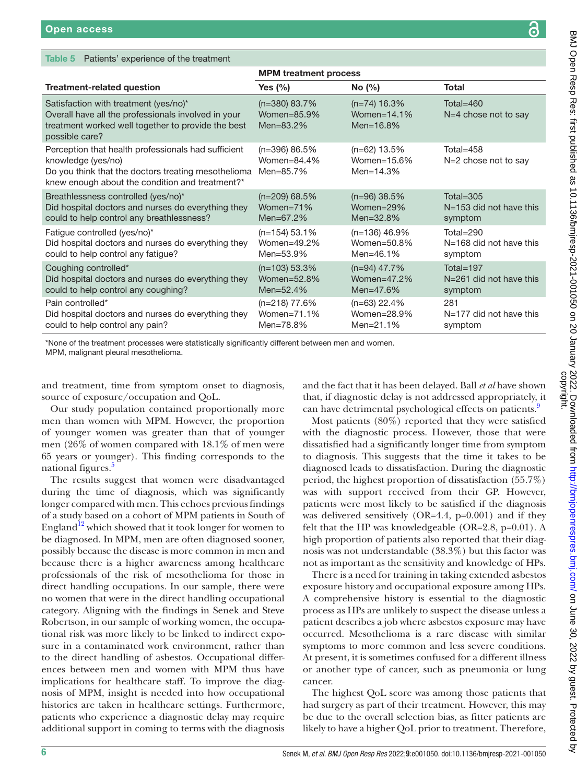# <span id="page-5-0"></span>Table 5 Patients' experience of the treatment

|                                                                                                                                                                                     | <b>MPM</b> treatment process                    |                                                   |                                      |
|-------------------------------------------------------------------------------------------------------------------------------------------------------------------------------------|-------------------------------------------------|---------------------------------------------------|--------------------------------------|
| <b>Treatment-related question</b>                                                                                                                                                   | Yes (%)                                         | No (%)                                            | Total                                |
| Satisfaction with treatment (yes/no)*<br>Overall have all the professionals involved in your<br>treatment worked well together to provide the best<br>possible care?                | $(n=380)$ 83.7%<br>Women=85.9%<br>Men= $83.2%$  | $(n=74)$ 16.3%<br>Women= $14.1\%$<br>Men= $16.8%$ | Total=460<br>$N=4$ chose not to say  |
| Perception that health professionals had sufficient<br>knowledge (yes/no)<br>Do you think that the doctors treating mesothelioma<br>knew enough about the condition and treatment?* | $(n=396)$ 86.5%<br>Women= $84.4\%$<br>Men=85.7% | $(n=62)$ 13.5%<br>Women=15.6%<br>Men= $14.3%$     | Total= $458$<br>N=2 chose not to say |
| Breathlessness controlled (yes/no)*                                                                                                                                                 | $(n=209)$ 68.5%                                 | $(n=96)$ 38.5%                                    | Total= $305$                         |
| Did hospital doctors and nurses do everything they                                                                                                                                  | Women=71%                                       | Women=29%                                         | $N=153$ did not have this            |
| could to help control any breathlessness?                                                                                                                                           | Men= $67.2\%$                                   | Men= $32.8%$                                      | symptom                              |
| Fatigue controlled (yes/no)*                                                                                                                                                        | $(n=154)$ 53.1%                                 | $(n=136)$ 46.9%                                   | Total=290                            |
| Did hospital doctors and nurses do everything they                                                                                                                                  | Women=49.2%                                     | Women= $50.8\%$                                   | $N=168$ did not have this            |
| could to help control any fatigue?                                                                                                                                                  | Men= $53.9%$                                    | Men= $46.1\%$                                     | symptom                              |
| Coughing controlled*                                                                                                                                                                | $(n=103)$ 53.3%                                 | $(n=94)$ 47.7%                                    | Total=197                            |
| Did hospital doctors and nurses do everything they                                                                                                                                  | Women=52.8%                                     | Women= $47.2\%$                                   | $N = 261$ did not have this          |
| could to help control any coughing?                                                                                                                                                 | Men= $52.4%$                                    | Men= $47.6\%$                                     | symptom                              |
| Pain controlled*                                                                                                                                                                    | $(n=218)$ 77.6%                                 | $(n=63)$ 22.4%                                    | 281                                  |
| Did hospital doctors and nurses do everything they                                                                                                                                  | Women=71.1%                                     | Women=28.9%                                       | $N=177$ did not have this            |
| could to help control any pain?                                                                                                                                                     | Men=78.8%                                       | Men= $21.1%$                                      | symptom                              |

\*None of the treatment processes were statistically significantly different between men and women.

MPM, malignant pleural mesothelioma.

and treatment, time from symptom onset to diagnosis, source of exposure/occupation and QoL.

Our study population contained proportionally more men than women with MPM. However, the proportion of younger women was greater than that of younger men (26% of women compared with 18.1% of men were 65 years or younger). This finding corresponds to the national figures.<sup>[5](#page-7-4)</sup>

The results suggest that women were disadvantaged during the time of diagnosis, which was significantly longer compared with men. This echoes previous findings of a study based on a cohort of MPM patients in South of England<sup>12</sup> which showed that it took longer for women to be diagnosed. In MPM, men are often diagnosed sooner, possibly because the disease is more common in men and because there is a higher awareness among healthcare professionals of the risk of mesothelioma for those in direct handling occupations. In our sample, there were no women that were in the direct handling occupational category. Aligning with the findings in Senek and Steve Robertson, in our sample of working women, the occupational risk was more likely to be linked to indirect exposure in a contaminated work environment, rather than to the direct handling of asbestos. Occupational differences between men and women with MPM thus have implications for healthcare staff. To improve the diagnosis of MPM, insight is needed into how occupational histories are taken in healthcare settings. Furthermore, patients who experience a diagnostic delay may require additional support in coming to terms with the diagnosis

and the fact that it has been delayed. Ball *et al* have shown that, if diagnostic delay is not addressed appropriately, it can have detrimental psychological effects on patients.<sup>[9](#page-7-8)</sup>

Most patients (80%) reported that they were satisfied with the diagnostic process. However, those that were dissatisfied had a significantly longer time from symptom to diagnosis. This suggests that the time it takes to be diagnosed leads to dissatisfaction. During the diagnostic period, the highest proportion of dissatisfaction (55.7%) was with support received from their GP. However, patients were most likely to be satisfied if the diagnosis was delivered sensitively (OR=4.4, p=0.001) and if they felt that the HP was knowledgeable (OR=2.8, p=0.01). A high proportion of patients also reported that their diagnosis was not understandable (38.3%) but this factor was not as important as the sensitivity and knowledge of HPs.

There is a need for training in taking extended asbestos exposure history and occupational exposure among HPs. A comprehensive history is essential to the diagnostic process as HPs are unlikely to suspect the disease unless a patient describes a job where asbestos exposure may have occurred. Mesothelioma is a rare disease with similar symptoms to more common and less severe conditions. At present, it is sometimes confused for a different illness or another type of cancer, such as pneumonia or lung cancer.

The highest QoL score was among those patients that had surgery as part of their treatment. However, this may be due to the overall selection bias, as fitter patients are likely to have a higher QoL prior to treatment. Therefore,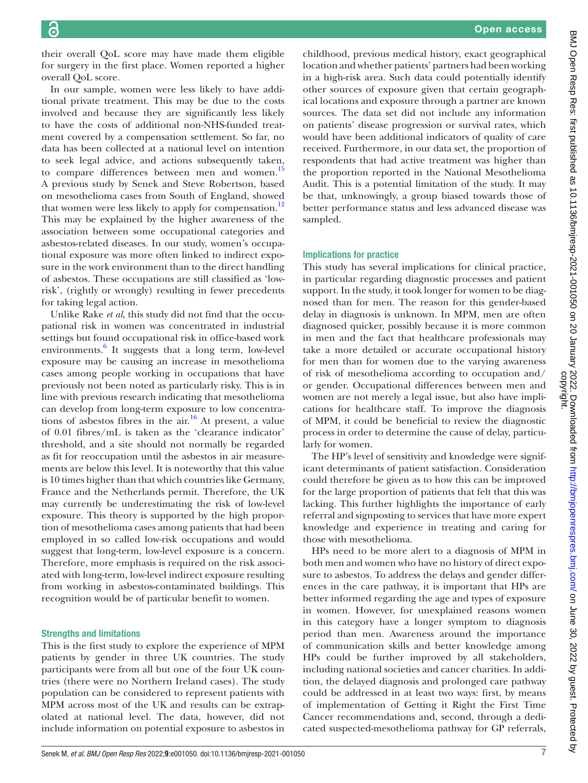their overall QoL score may have made them eligible for surgery in the first place. Women reported a higher overall QoL score.

In our sample, women were less likely to have additional private treatment. This may be due to the costs involved and because they are significantly less likely to have the costs of additional non-NHS-funded treatment covered by a compensation settlement. So far, no data has been collected at a national level on intention to seek legal advice, and actions subsequently taken, to compare differences between men and women.<sup>15</sup> A previous study by Senek and Steve Robertson, based on mesothelioma cases from South of England, showed that women were less likely to apply for compensation.<sup>[12](#page-7-11)</sup> This may be explained by the higher awareness of the association between some occupational categories and asbestos-related diseases. In our study, women's occupational exposure was more often linked to indirect exposure in the work environment than to the direct handling of asbestos. These occupations are still classified as 'lowrisk', (rightly or wrongly) resulting in fewer precedents for taking legal action.

Unlike Rake *et al*, this study did not find that the occupational risk in women was concentrated in industrial settings but found occupational risk in office-based work environments. $6$  It suggests that a long term, low-level exposure may be causing an increase in mesothelioma cases among people working in occupations that have previously not been noted as particularly risky. This is in line with previous research indicating that mesothelioma can develop from long-term exposure to low concentrations of asbestos fibres in the  $air^{16}$  $air^{16}$  $air^{16}$  At present, a value of 0.01 fibres/mL is taken as the 'clearance indicator' threshold, and a site should not normally be regarded as fit for reoccupation until the asbestos in air measurements are below this level. It is noteworthy that this value is 10 times higher than that which countries like Germany, France and the Netherlands permit. Therefore, the UK may currently be underestimating the risk of low-level exposure. This theory is supported by the high proportion of mesothelioma cases among patients that had been employed in so called low-risk occupations and would suggest that long-term, low-level exposure is a concern. Therefore, more emphasis is required on the risk associated with long-term, low-level indirect exposure resulting from working in asbestos-contaminated buildings. This recognition would be of particular benefit to women.

#### Strengths and limitations

This is the first study to explore the experience of MPM patients by gender in three UK countries. The study participants were from all but one of the four UK countries (there were no Northern Ireland cases). The study population can be considered to represent patients with MPM across most of the UK and results can be extrapolated at national level. The data, however, did not include information on potential exposure to asbestos in

childhood, previous medical history, exact geographical location and whether patients' partners had been working in a high-risk area. Such data could potentially identify other sources of exposure given that certain geographical locations and exposure through a partner are known sources. The data set did not include any information on patients' disease progression or survival rates, which would have been additional indicators of quality of care received. Furthermore, in our data set, the proportion of respondents that had active treatment was higher than the proportion reported in the National Mesothelioma Audit. This is a potential limitation of the study. It may be that, unknowingly, a group biased towards those of better performance status and less advanced disease was sampled.

#### Implications for practice

This study has several implications for clinical practice, in particular regarding diagnostic processes and patient support. In the study, it took longer for women to be diagnosed than for men. The reason for this gender-based delay in diagnosis is unknown. In MPM, men are often diagnosed quicker, possibly because it is more common in men and the fact that healthcare professionals may take a more detailed or accurate occupational history for men than for women due to the varying awareness of risk of mesothelioma according to occupation and/ or gender. Occupational differences between men and women are not merely a legal issue, but also have implications for healthcare staff. To improve the diagnosis of MPM, it could be beneficial to review the diagnostic process in order to determine the cause of delay, particularly for women.

The HP's level of sensitivity and knowledge were significant determinants of patient satisfaction. Consideration could therefore be given as to how this can be improved for the large proportion of patients that felt that this was lacking. This further highlights the importance of early referral and signposting to services that have more expert knowledge and experience in treating and caring for those with mesothelioma.

HPs need to be more alert to a diagnosis of MPM in both men and women who have no history of direct exposure to asbestos. To address the delays and gender differences in the care pathway, it is important that HPs are better informed regarding the age and types of exposure in women. However, for unexplained reasons women in this category have a longer symptom to diagnosis period than men. Awareness around the importance of communication skills and better knowledge among HPs could be further improved by all stakeholders, including national societies and cancer charities. In addition, the delayed diagnosis and prolonged care pathway could be addressed in at least two ways: first, by means of implementation of Getting it Right the First Time Cancer recommendations and, second, through a dedicated suspected-mesothelioma pathway for GP referrals,